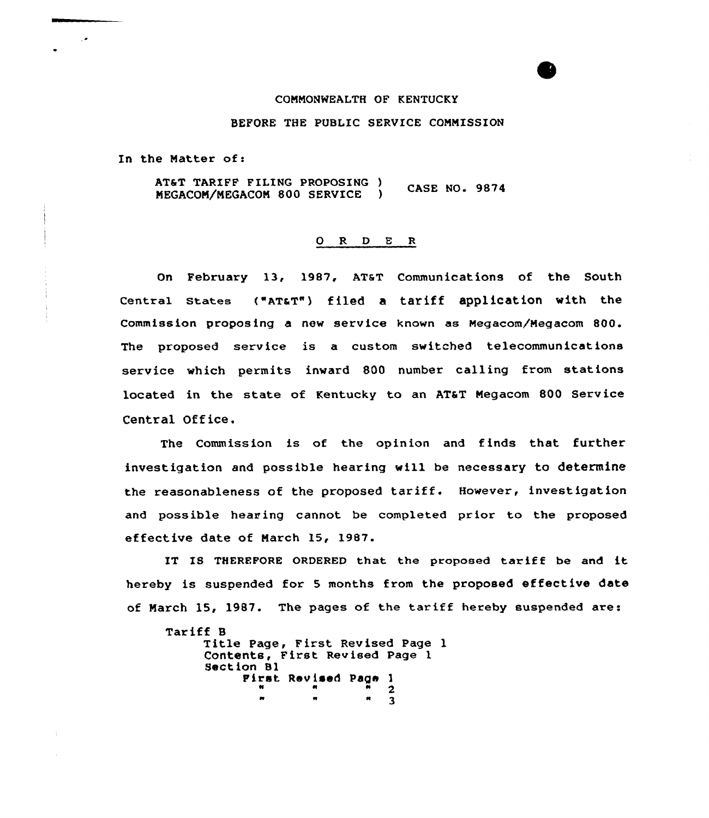## COMMONWEALTH OF KENTUCKY

## BEFORE THE PUBLIC SERVICE CONMISSION

In the Matter of:

AT&T TARIFF FILING PROPOSING ) CASE NO. 9874 NEGACON/NEGACON 800 SERVICE )

## 0 R <sup>D</sup> E <sup>R</sup>

On February 13, 1987, AT&T Communications of the South Central States ("AT&T") filed a tariff application with the Commission proposing a new service known as Megacom/Megacom 800. The proposed service is a custom switched telecommunications service which permits inward 800 number calling from stations located in the state of Kentucky to an AT&T Megacom 800 Service Central Office.

The Commission is of the opinion and finds that further investigation and possible hearing will be necessary to determine the reasonableness of the proposed tariff. However, investigation and possible hearing cannot be completed prior to the proposed effective date of March 15, 1987.

IT IS THEREFORE ORDERED that the proposed tariff be and it hereby is suspended for 5 months from the proposed effective date of Narch 15, 1987. The pages of the tariff hereby suspended are:

```
Tariff B
Title Page, First Revised Page 1
Contents, First Revised Page<sup>1</sup>
      Pirst Revised Page 1<br>"
        n n <mark>n</mark> 2
        w w w
```